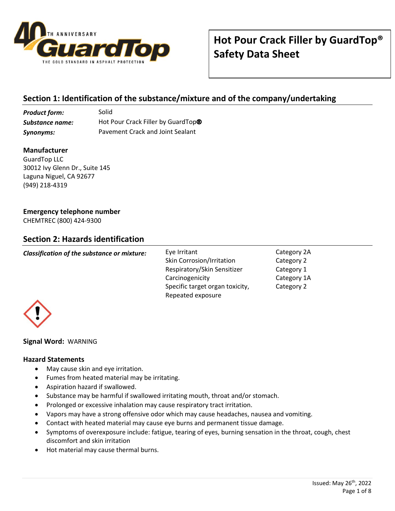

# **Section 1: Identification of the substance/mixture and of the company/undertaking**

**Product form:** Solid **Substance name:** Hot Pour Crack Filler by GuardTop<sup>®</sup> *Synonyms:* Pavement Crack and Joint Sealant

### **Manufacturer**

GuardTop LLC 30012 Ivy Glenn Dr., Suite 145 Laguna Niguel, CA 92677 (949) 218-4319

### **Emergency telephone number**

CHEMTREC (800) 424-9300

# **Section 2: Hazards identification**

| Classification of the substance or mixture: | Eye Irritant<br><b>Skin Corrosion/Irritation</b>     | Category 2A<br>Category 2 |
|---------------------------------------------|------------------------------------------------------|---------------------------|
|                                             | Respiratory/Skin Sensitizer<br>Carcinogenicity       | Category 1<br>Category 1A |
|                                             | Specific target organ toxicity,<br>Repeated exposure | Category 2                |



### **Signal Word:** WARNING

### **Hazard Statements**

- May cause skin and eye irritation.
- Fumes from heated material may be irritating.
- Aspiration hazard if swallowed.
- Substance may be harmful if swallowed irritating mouth, throat and/or stomach.
- Prolonged or excessive inhalation may cause respiratory tract irritation.
- Vapors may have a strong offensive odor which may cause headaches, nausea and vomiting.
- Contact with heated material may cause eye burns and permanent tissue damage.
- Symptoms of overexposure include: fatigue, tearing of eyes, burning sensation in the throat, cough, chest discomfort and skin irritation
- Hot material may cause thermal burns.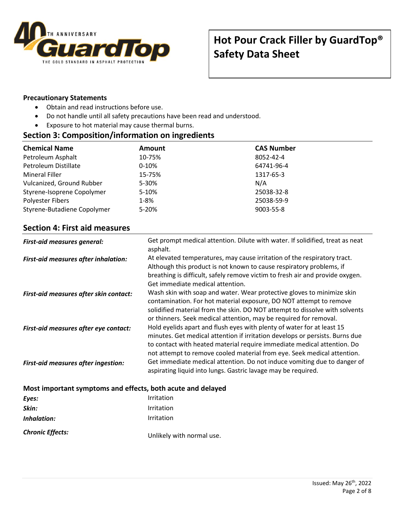

### **Precautionary Statements**

- Obtain and read instructions before use.
- Do not handle until all safety precautions have been read and understood.
- Exposure to hot material may cause thermal burns.

### **Section 3: Composition/information on ingredients**

| <b>Chemical Name</b>        | <b>Amount</b> | <b>CAS Number</b> |
|-----------------------------|---------------|-------------------|
| Petroleum Asphalt           | 10-75%        | 8052-42-4         |
| Petroleum Distillate        | $0-10%$       | 64741-96-4        |
| <b>Mineral Filler</b>       | 15-75%        | 1317-65-3         |
| Vulcanized, Ground Rubber   | 5-30%         | N/A               |
| Styrene-Isoprene Copolymer  | 5-10%         | 25038-32-8        |
| <b>Polyester Fibers</b>     | $1 - 8%$      | 25038-59-9        |
| Styrene-Butadiene Copolymer | $5 - 20%$     | 9003-55-8         |

## **Section 4: First aid measures**

| <b>First-aid measures general:</b>          | Get prompt medical attention. Dilute with water. If solidified, treat as neat<br>asphalt.                                                                                                                                                                                                                    |
|---------------------------------------------|--------------------------------------------------------------------------------------------------------------------------------------------------------------------------------------------------------------------------------------------------------------------------------------------------------------|
| <b>First-aid measures after inhalation:</b> | At elevated temperatures, may cause irritation of the respiratory tract.<br>Although this product is not known to cause respiratory problems, if<br>breathing is difficult, safely remove victim to fresh air and provide oxygen.<br>Get immediate medical attention.                                        |
| First-aid measures after skin contact:      | Wash skin with soap and water. Wear protective gloves to minimize skin<br>contamination. For hot material exposure, DO NOT attempt to remove<br>solidified material from the skin. DO NOT attempt to dissolve with solvents<br>or thinners. Seek medical attention, may be required for removal.             |
| First-aid measures after eye contact:       | Hold eyelids apart and flush eyes with plenty of water for at least 15<br>minutes. Get medical attention if irritation develops or persists. Burns due<br>to contact with heated material require immediate medical attention. Do<br>not attempt to remove cooled material from eye. Seek medical attention. |
| <b>First-aid measures after ingestion:</b>  | Get immediate medical attention. Do not induce vomiting due to danger of<br>aspirating liquid into lungs. Gastric lavage may be required.                                                                                                                                                                    |

### **Most important symptoms and effects, both acute and delayed**

| Eyes:                   | Irritation                |
|-------------------------|---------------------------|
| Skin:                   | <b>Irritation</b>         |
| Inhalation:             | <b>Irritation</b>         |
| <b>Chronic Effects:</b> | Unlikely with normal use. |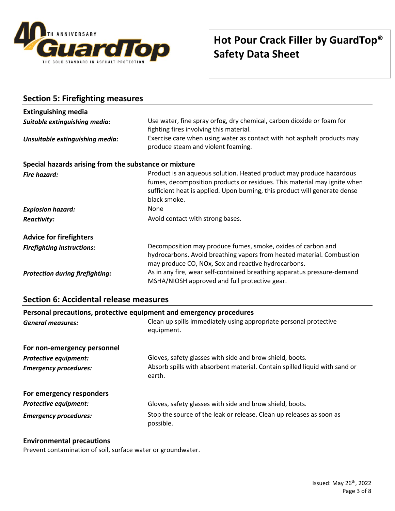

| <b>Section 5: Firefighting measures</b>                      |                                                                                                                                                                                                                                                |
|--------------------------------------------------------------|------------------------------------------------------------------------------------------------------------------------------------------------------------------------------------------------------------------------------------------------|
| <b>Extinguishing media</b>                                   |                                                                                                                                                                                                                                                |
| Suitable extinguishing media:                                | Use water, fine spray orfog, dry chemical, carbon dioxide or foam for<br>fighting fires involving this material.                                                                                                                               |
| Unsuitable extinguishing media:                              | Exercise care when using water as contact with hot asphalt products may<br>produce steam and violent foaming.                                                                                                                                  |
| Special hazards arising from the substance or mixture        |                                                                                                                                                                                                                                                |
| <b>Fire hazard:</b>                                          | Product is an aqueous solution. Heated product may produce hazardous<br>fumes, decomposition products or residues. This material may ignite when<br>sufficient heat is applied. Upon burning, this product will generate dense<br>black smoke. |
| <b>Explosion hazard:</b>                                     | None                                                                                                                                                                                                                                           |
| <b>Reactivity:</b>                                           | Avoid contact with strong bases.                                                                                                                                                                                                               |
| <b>Advice for firefighters</b>                               |                                                                                                                                                                                                                                                |
| <b>Firefighting instructions:</b>                            | Decomposition may produce fumes, smoke, oxides of carbon and<br>hydrocarbons. Avoid breathing vapors from heated material. Combustion<br>may produce CO, NOx, Sox and reactive hydrocarbons.                                                   |
| <b>Protection during firefighting:</b>                       | As in any fire, wear self-contained breathing apparatus pressure-demand<br>MSHA/NIOSH approved and full protective gear.                                                                                                                       |
| <b>Section 6: Accidental release measures</b>                |                                                                                                                                                                                                                                                |
| Benedict International contractive construction of each con- |                                                                                                                                                                                                                                                |

| Personal precautions, protective equipment and emergency procedures |                                                                                      |  |
|---------------------------------------------------------------------|--------------------------------------------------------------------------------------|--|
| <b>General measures:</b>                                            | Clean up spills immediately using appropriate personal protective<br>equipment.      |  |
| For non-emergency personnel                                         |                                                                                      |  |
| <b>Protective equipment:</b>                                        | Gloves, safety glasses with side and brow shield, boots.                             |  |
| <b>Emergency procedures:</b>                                        | Absorb spills with absorbent material. Contain spilled liquid with sand or<br>earth. |  |
| For emergency responders                                            |                                                                                      |  |
| <b>Protective equipment:</b>                                        | Gloves, safety glasses with side and brow shield, boots.                             |  |
| <b>Emergency procedures:</b>                                        | Stop the source of the leak or release. Clean up releases as soon as<br>possible.    |  |

### **Environmental precautions**

Prevent contamination of soil, surface water or groundwater.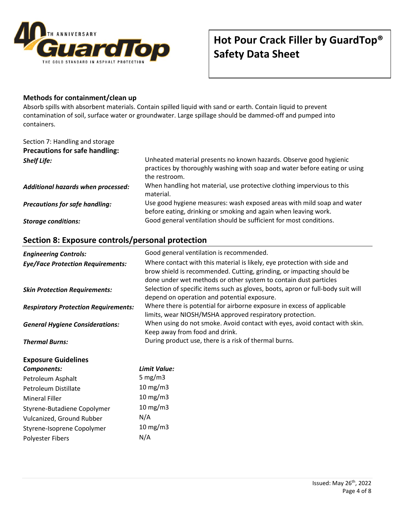

# **Hot Pour Crack Filler by GuardTop® Safety Data Sheet**

#### **Methods for containment/clean up**

Absorb spills with absorbent materials. Contain spilled liquid with sand or earth. Contain liquid to prevent contamination of soil, surface water or groundwater. Large spillage should be dammed-off and pumped into containers.

# Section 7: Handling and storage **Precautions for safe handling:**

| <b>Shelf Life:</b>                    | Unheated material presents no known hazards. Observe good hygienic<br>practices by thoroughly washing with soap and water before eating or using<br>the restroom. |
|---------------------------------------|-------------------------------------------------------------------------------------------------------------------------------------------------------------------|
| Additional hazards when processed:    | When handling hot material, use protective clothing impervious to this<br>material.                                                                               |
| <b>Precautions for safe handling:</b> | Use good hygiene measures: wash exposed areas with mild soap and water<br>before eating, drinking or smoking and again when leaving work.                         |
| <b>Storage conditions:</b>            | Good general ventilation should be sufficient for most conditions.                                                                                                |

## **Section 8: Exposure controls/personal protection**

Polyester Fibers N/A

| <b>Engineering Controls:</b>                | Good general ventilation is recommended.                                                                                                                                                                              |
|---------------------------------------------|-----------------------------------------------------------------------------------------------------------------------------------------------------------------------------------------------------------------------|
| <b>Eye/Face Protection Requirements:</b>    | Where contact with this material is likely, eye protection with side and<br>brow shield is recommended. Cutting, grinding, or impacting should be<br>done under wet methods or other system to contain dust particles |
| <b>Skin Protection Requirements:</b>        | Selection of specific items such as gloves, boots, apron or full-body suit will<br>depend on operation and potential exposure.                                                                                        |
| <b>Respiratory Protection Requirements:</b> | Where there is potential for airborne exposure in excess of applicable<br>limits, wear NIOSH/MSHA approved respiratory protection.                                                                                    |
| <b>General Hygiene Considerations:</b>      | When using do not smoke. Avoid contact with eyes, avoid contact with skin.<br>Keep away from food and drink.                                                                                                          |
| <b>Thermal Burns:</b>                       | During product use, there is a risk of thermal burns.                                                                                                                                                                 |
| <b>Exposure Guidelines</b>                  |                                                                                                                                                                                                                       |
| Components:                                 | Limit Value:                                                                                                                                                                                                          |
| Petroleum Asphalt                           | 5 mg/m $3$                                                                                                                                                                                                            |
| Petroleum Distillate                        | $10 \text{ mg}/\text{m}$ 3                                                                                                                                                                                            |
| <b>Mineral Filler</b>                       | $10 \text{ mg/m}$                                                                                                                                                                                                     |
| Styrene-Butadiene Copolymer                 | $10 \text{ mg/m}$                                                                                                                                                                                                     |
| Vulcanized, Ground Rubber                   | N/A                                                                                                                                                                                                                   |
| Styrene-Isoprene Copolymer                  | $10 \text{ mg}/\text{m}$ 3                                                                                                                                                                                            |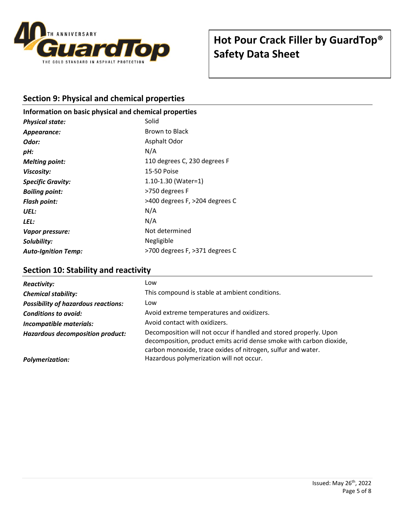

## **Section 9: Physical and chemical properties**

### **Information on basic physical and chemical properties**

| <b>Physical state:</b>     | Solid                          |
|----------------------------|--------------------------------|
| Appearance:                | Brown to Black                 |
| Odor:                      | Asphalt Odor                   |
| pH:                        | N/A                            |
| <b>Melting point:</b>      | 110 degrees C, 230 degrees F   |
| Viscosity:                 | 15-50 Poise                    |
| <b>Specific Gravity:</b>   | $1.10 - 1.30$ (Water=1)        |
| <b>Boiling point:</b>      | >750 degrees F                 |
| <b>Flash point:</b>        | >400 degrees F, >204 degrees C |
| UEL:                       | N/A                            |
| LEL:                       | N/A                            |
| Vapor pressure:            | Not determined                 |
| Solubility:                | Negligible                     |
| <b>Auto-Ignition Temp:</b> | >700 degrees F, >371 degrees C |

## **Section 10: Stability and reactivity**

| <b>Reactivity:</b>                         | Low                                                                                                                                                                                                      |
|--------------------------------------------|----------------------------------------------------------------------------------------------------------------------------------------------------------------------------------------------------------|
| <b>Chemical stability:</b>                 | This compound is stable at ambient conditions.                                                                                                                                                           |
| <b>Possibility of hazardous reactions:</b> | Low                                                                                                                                                                                                      |
| <b>Conditions to avoid:</b>                | Avoid extreme temperatures and oxidizers.                                                                                                                                                                |
| <b>Incompatible materials:</b>             | Avoid contact with oxidizers.                                                                                                                                                                            |
| Hazardous decomposition product:           | Decomposition will not occur if handled and stored properly. Upon<br>decomposition, product emits acrid dense smoke with carbon dioxide,<br>carbon monoxide, trace oxides of nitrogen, sulfur and water. |
| <b>Polymerization:</b>                     | Hazardous polymerization will not occur.                                                                                                                                                                 |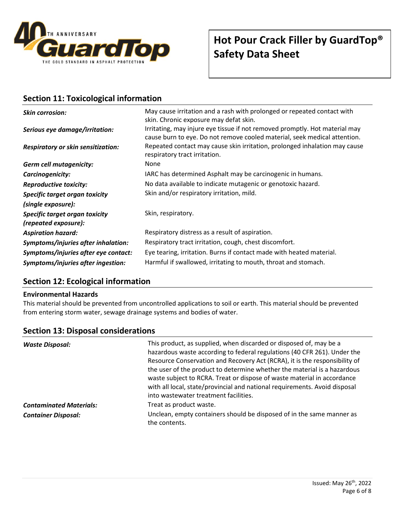

## **Section 11: Toxicological information**

| <b>Skin corrosion:</b><br>Serious eye damage/irritation: | May cause irritation and a rash with prolonged or repeated contact with<br>skin. Chronic exposure may defat skin.<br>Irritating, may injure eye tissue if not removed promptly. Hot material may<br>cause burn to eye. Do not remove cooled material, seek medical attention. |
|----------------------------------------------------------|-------------------------------------------------------------------------------------------------------------------------------------------------------------------------------------------------------------------------------------------------------------------------------|
| <b>Respiratory or skin sensitization:</b>                | Repeated contact may cause skin irritation, prolonged inhalation may cause<br>respiratory tract irritation.                                                                                                                                                                   |
| <b>Germ cell mutagenicity:</b>                           | <b>None</b>                                                                                                                                                                                                                                                                   |
| Carcinogenicity:                                         | IARC has determined Asphalt may be carcinogenic in humans.                                                                                                                                                                                                                    |
| <b>Reproductive toxicity:</b>                            | No data available to indicate mutagenic or genotoxic hazard.                                                                                                                                                                                                                  |
| Specific target organ toxicity                           | Skin and/or respiratory irritation, mild.                                                                                                                                                                                                                                     |
| (single exposure):                                       |                                                                                                                                                                                                                                                                               |
| Specific target organ toxicity<br>(repeated exposure):   | Skin, respiratory.                                                                                                                                                                                                                                                            |
| <b>Aspiration hazard:</b>                                | Respiratory distress as a result of aspiration.                                                                                                                                                                                                                               |
| Symptoms/injuries after inhalation:                      | Respiratory tract irritation, cough, chest discomfort.                                                                                                                                                                                                                        |
| Symptoms/injuries after eye contact:                     | Eye tearing, irritation. Burns if contact made with heated material.                                                                                                                                                                                                          |
| Symptoms/injuries after ingestion:                       | Harmful if swallowed, irritating to mouth, throat and stomach.                                                                                                                                                                                                                |

# **Section 12: Ecological information**

#### **Environmental Hazards**

This material should be prevented from uncontrolled applications to soil or earth. This material should be prevented from entering storm water, sewage drainage systems and bodies of water.

## **Section 13: Disposal considerations**

| <b>Waste Disposal:</b>         | This product, as supplied, when discarded or disposed of, may be a<br>hazardous waste according to federal regulations (40 CFR 261). Under the<br>Resource Conservation and Recovery Act (RCRA), it is the responsibility of<br>the user of the product to determine whether the material is a hazardous<br>waste subject to RCRA. Treat or dispose of waste material in accordance<br>with all local, state/provincial and national requirements. Avoid disposal<br>into wastewater treatment facilities. |
|--------------------------------|------------------------------------------------------------------------------------------------------------------------------------------------------------------------------------------------------------------------------------------------------------------------------------------------------------------------------------------------------------------------------------------------------------------------------------------------------------------------------------------------------------|
| <b>Contaminated Materials:</b> | Treat as product waste.                                                                                                                                                                                                                                                                                                                                                                                                                                                                                    |
| <b>Container Disposal:</b>     | Unclean, empty containers should be disposed of in the same manner as<br>the contents.                                                                                                                                                                                                                                                                                                                                                                                                                     |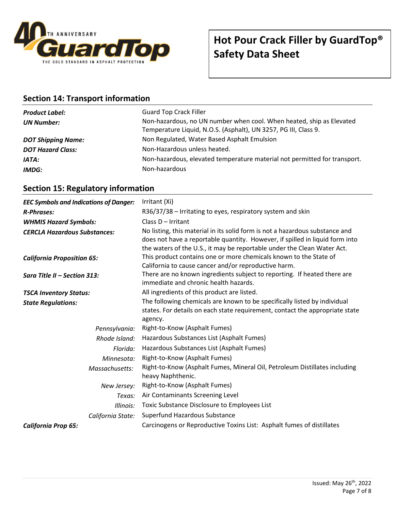

## **Section 14: Transport information**

| <b>Product Label:</b>     | <b>Guard Top Crack Filler</b>                                                                                                           |
|---------------------------|-----------------------------------------------------------------------------------------------------------------------------------------|
| <b>UN Number:</b>         | Non-hazardous, no UN number when cool. When heated, ship as Elevated<br>Temperature Liquid, N.O.S. (Asphalt), UN 3257, PG III, Class 9. |
| <b>DOT Shipping Name:</b> | Non Regulated, Water Based Asphalt Emulsion                                                                                             |
| <b>DOT Hazard Class:</b>  | Non-Hazardous unless heated.                                                                                                            |
| IATA:                     | Non-hazardous, elevated temperature material not permitted for transport.                                                               |
| IMDG:                     | Non-hazardous                                                                                                                           |

## **Section 15: Regulatory information**

| <b>EEC Symbols and Indications of Danger:</b><br><b>R-Phrases:</b> | Irritant (Xi)<br>R36/37/38 – Irritating to eyes, respiratory system and skin                                                                                                                                                            |
|--------------------------------------------------------------------|-----------------------------------------------------------------------------------------------------------------------------------------------------------------------------------------------------------------------------------------|
| <b>WHMIS Hazard Symbols:</b>                                       | Class D - Irritant                                                                                                                                                                                                                      |
| <b>CERCLA Hazardous Substances:</b>                                | No listing, this material in its solid form is not a hazardous substance and<br>does not have a reportable quantity. However, if spilled in liquid form into<br>the waters of the U.S., it may be reportable under the Clean Water Act. |
| <b>California Proposition 65:</b>                                  | This product contains one or more chemicals known to the State of<br>California to cause cancer and/or reproductive harm.                                                                                                               |
| Sara Title II - Section 313:                                       | There are no known ingredients subject to reporting. If heated there are<br>immediate and chronic health hazards.                                                                                                                       |
| <b>TSCA Inventory Status:</b>                                      | All ingredients of this product are listed.                                                                                                                                                                                             |
| <b>State Regulations:</b>                                          | The following chemicals are known to be specifically listed by individual<br>states. For details on each state requirement, contact the appropriate state<br>agency.                                                                    |
| Pennsylvania:                                                      | Right-to-Know (Asphalt Fumes)                                                                                                                                                                                                           |
| Rhode Island:                                                      | Hazardous Substances List (Asphalt Fumes)                                                                                                                                                                                               |
| Florida:                                                           | Hazardous Substances List (Asphalt Fumes)                                                                                                                                                                                               |
| Minnesota:                                                         | Right-to-Know (Asphalt Fumes)                                                                                                                                                                                                           |
| Massachusetts:                                                     | Right-to-Know (Asphalt Fumes, Mineral Oil, Petroleum Distillates including<br>heavy Naphthenic.                                                                                                                                         |
| New Jersey:                                                        | Right-to-Know (Asphalt Fumes)                                                                                                                                                                                                           |
| Texas:                                                             | Air Contaminants Screening Level                                                                                                                                                                                                        |
| Illinois:                                                          | Toxic Substance Disclosure to Employees List                                                                                                                                                                                            |
| California State:                                                  | Superfund Hazardous Substance                                                                                                                                                                                                           |
| <b>California Prop 65:</b>                                         | Carcinogens or Reproductive Toxins List: Asphalt fumes of distillates                                                                                                                                                                   |